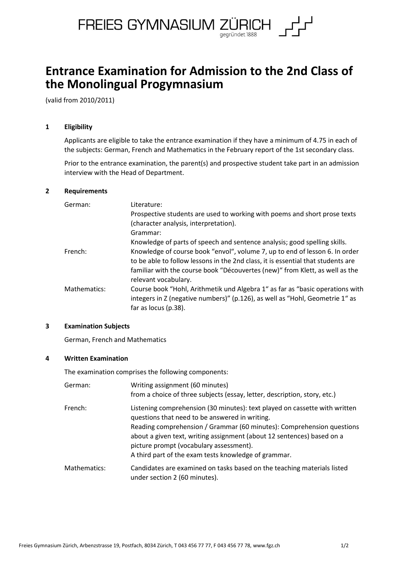

# **Entrance Examination for Admission to the 2nd Class of the Monolingual Progymnasium**

(valid from 2010/2011)

# **1 Eligibility**

Applicants are eligible to take the entrance examination if they have a minimum of 4.75 in each of the subjects: German, French and Mathematics in the February report of the 1st secondary class.

Prior to the entrance examination, the parent(s) and prospective student take part in an admission interview with the Head of Department.

## **2 Requirements**

| German:      | Literature:                                                                      |
|--------------|----------------------------------------------------------------------------------|
|              | Prospective students are used to working with poems and short prose texts        |
|              | (character analysis, interpretation).                                            |
|              | Grammar:                                                                         |
|              | Knowledge of parts of speech and sentence analysis; good spelling skills.        |
| French:      | Knowledge of course book "envol", volume 7, up to end of lesson 6. In order      |
|              | to be able to follow lessons in the 2nd class, it is essential that students are |
|              | familiar with the course book "Découvertes (new)" from Klett, as well as the     |
|              | relevant vocabulary.                                                             |
| Mathematics: | Course book "Hohl, Arithmetik und Algebra 1" as far as "basic operations with    |
|              | integers in Z (negative numbers)" (p.126), as well as "Hohl, Geometrie 1" as     |
|              | far as locus (p.38).                                                             |

# **3 Examination Subjects**

German, French and Mathematics

#### **4 Written Examination**

The examination comprises the following components:

| German:      | Writing assignment (60 minutes)<br>from a choice of three subjects (essay, letter, description, story, etc.)                                                                                                                                                                                                                                                                       |
|--------------|------------------------------------------------------------------------------------------------------------------------------------------------------------------------------------------------------------------------------------------------------------------------------------------------------------------------------------------------------------------------------------|
| French:      | Listening comprehension (30 minutes): text played on cassette with written<br>questions that need to be answered in writing.<br>Reading comprehension / Grammar (60 minutes): Comprehension questions<br>about a given text, writing assignment (about 12 sentences) based on a<br>picture prompt (vocabulary assessment).<br>A third part of the exam tests knowledge of grammar. |
| Mathematics: | Candidates are examined on tasks based on the teaching materials listed<br>under section 2 (60 minutes).                                                                                                                                                                                                                                                                           |